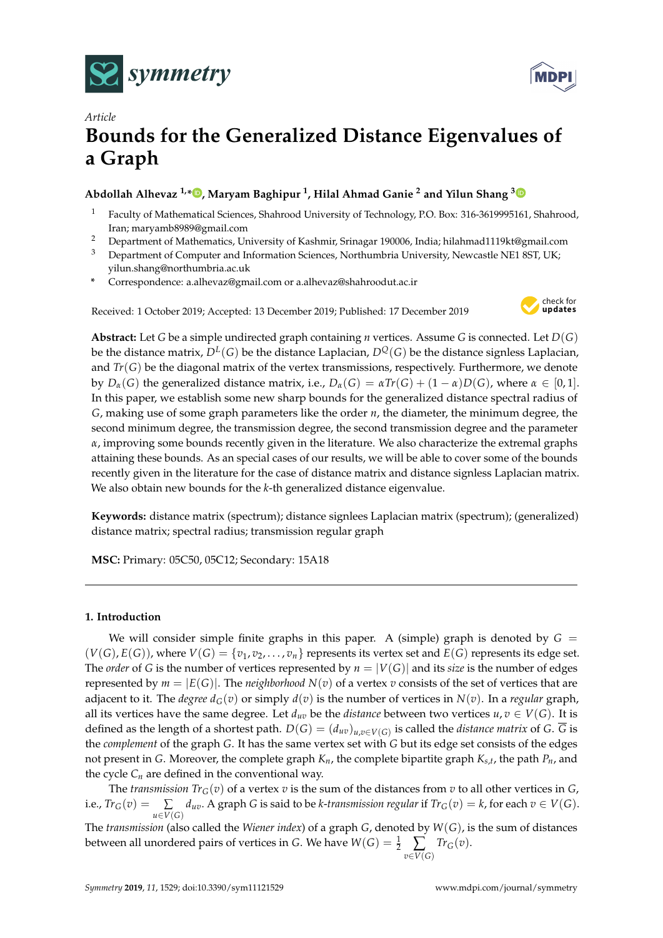



# *Article* **Bounds for the Generalized Distance Eigenvalues of a Graph**

# **Abdollah Alhevaz 1,\* [,](https://orcid.org/0000-0001-6167-607X) Maryam Baghipur <sup>1</sup> , Hilal Ahmad Ganie <sup>2</sup> and Yilun Shang [3](https://orcid.org/0000-0002-2817-3400)**

- <sup>1</sup> Faculty of Mathematical Sciences, Shahrood University of Technology, P.O. Box: 316-3619995161, Shahrood, Iran; maryamb8989@gmail.com
- <sup>2</sup> Department of Mathematics, University of Kashmir, Srinagar 190006, India; hilahmad1119kt@gmail.com
- <sup>3</sup> Department of Computer and Information Sciences, Northumbria University, Newcastle NE1 8ST, UK; yilun.shang@northumbria.ac.uk
- **\*** Correspondence: a.alhevaz@gmail.com or a.alhevaz@shahroodut.ac.ir

Received: 1 October 2019; Accepted: 13 December 2019; Published: 17 December 2019



**Abstract:** Let *G* be a simple undirected graph containing *n* vertices. Assume *G* is connected. Let *D*(*G*) be the distance matrix,  $D^L(G)$  be the distance Laplacian,  $D^Q(G)$  be the distance signless Laplacian, and  $Tr(G)$  be the diagonal matrix of the vertex transmissions, respectively. Furthermore, we denote by  $D_{\alpha}(G)$  the generalized distance matrix, i.e.,  $D_{\alpha}(G) = \alpha Tr(G) + (1 - \alpha)D(G)$ , where  $\alpha \in [0,1]$ . In this paper, we establish some new sharp bounds for the generalized distance spectral radius of *G*, making use of some graph parameters like the order *n*, the diameter, the minimum degree, the second minimum degree, the transmission degree, the second transmission degree and the parameter *α*, improving some bounds recently given in the literature. We also characterize the extremal graphs attaining these bounds. As an special cases of our results, we will be able to cover some of the bounds recently given in the literature for the case of distance matrix and distance signless Laplacian matrix. We also obtain new bounds for the *k*-th generalized distance eigenvalue.

**Keywords:** distance matrix (spectrum); distance signlees Laplacian matrix (spectrum); (generalized) distance matrix; spectral radius; transmission regular graph

**MSC:** Primary: 05C50, 05C12; Secondary: 15A18

## **1. Introduction**

We will consider simple finite graphs in this paper. A (simple) graph is denoted by  $G =$  $(V(G), E(G))$ , where  $V(G) = \{v_1, v_2, \ldots, v_n\}$  represents its vertex set and  $E(G)$  represents its edge set. The *order* of *G* is the number of vertices represented by  $n = |V(G)|$  and its *size* is the number of edges represented by  $m = |E(G)|$ . The *neighborhood*  $N(v)$  of a vertex *v* consists of the set of vertices that are adjacent to it. The *degree*  $d_G(v)$  or simply  $d(v)$  is the number of vertices in  $N(v)$ . In a *regular* graph, all its vertices have the same degree. Let  $d_{uv}$  be the *distance* between two vertices  $u, v \in V(G)$ . It is defined as the length of a shortest path.  $D(G) = (d_{uv})_{u,v \in V(G)}$  is called the *distance matrix* of *G*. *G* is the *complement* of the graph *G*. It has the same vertex set with *G* but its edge set consists of the edges not present in *G*. Moreover, the complete graph *Kn*, the complete bipartite graph *Ks*,*<sup>t</sup>* , the path *Pn*, and the cycle  $C_n$  are defined in the conventional way.

The *transmission*  $Tr_G(v)$  of a vertex *v* is the sum of the distances from *v* to all other vertices in *G*, i.e.,  $Tr_G(v) = \sum_{u \in V(G)} d_{uv}$ . A graph G is said to be *k*-transmission regular if  $Tr_G(v) = k$ , for each  $v \in V(G)$ .

The *transmission* (also called the *Wiener index*) of a graph *G*, denoted by *W*(*G*), is the sum of distances between all unordered pairs of vertices in *G*. We have  $W(G) = \frac{1}{2} \sum_{v \in V(G)}$ *TrG*(*v*).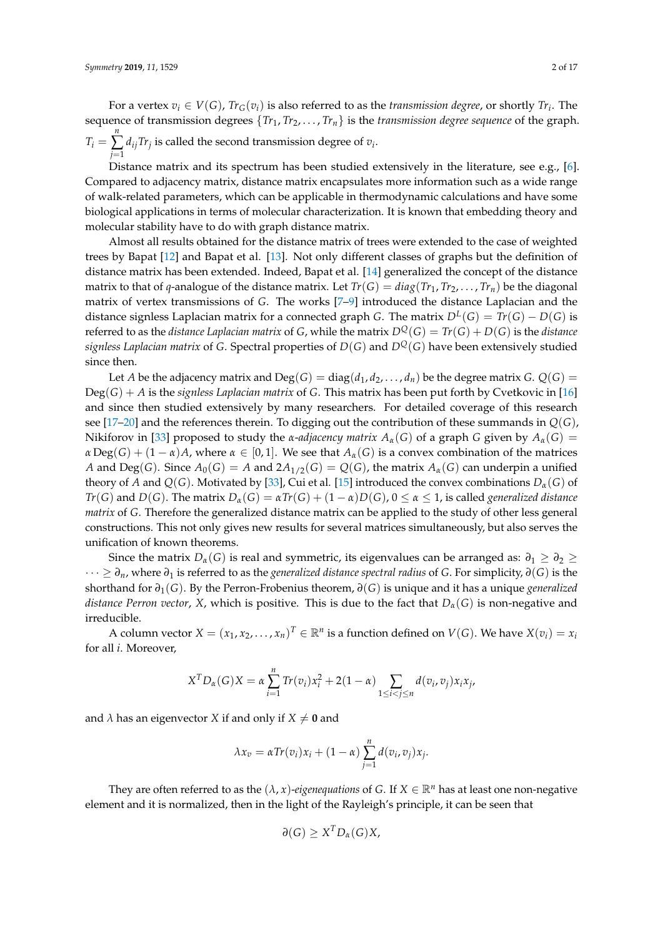For a vertex  $v_i \in V(G)$ ,  $Tr_G(v_i)$  is also referred to as the *transmission degree*, or shortly  $Tr_i$ . The sequence of transmission degrees  $\{Tr_1, Tr_2, \ldots, Tr_n\}$  is the *transmission degree sequence* of the graph.  $T_i =$ *n* ∑ *j*=1  $d_{ij}$ Tr<sub>j</sub> is called the second transmission degree of  $v_i$ .

Distance matrix and its spectrum has been studied extensively in the literature, see e.g., [\[6\]](#page-15-0). Compared to adjacency matrix, distance matrix encapsulates more information such as a wide range of walk-related parameters, which can be applicable in thermodynamic calculations and have some biological applications in terms of molecular characterization. It is known that embedding theory and molecular stability have to do with graph distance matrix.

Almost all results obtained for the distance matrix of trees were extended to the case of weighted trees by Bapat [\[12\]](#page-15-1) and Bapat et al. [\[13\]](#page-15-2). Not only different classes of graphs but the definition of distance matrix has been extended. Indeed, Bapat et al. [\[14\]](#page-15-3) generalized the concept of the distance matrix to that of *q*-analogue of the distance matrix. Let  $Tr(G) = diag(Tr_1, Tr_2, \ldots, Tr_n)$  be the diagonal matrix of vertex transmissions of *G*. The works [\[7](#page-15-4)[–9\]](#page-15-5) introduced the distance Laplacian and the distance signless Laplacian matrix for a connected graph *G*. The matrix  $D^L(G) = Tr(G) - D(G)$  is referred to as the *distance Laplacian matrix* of *G*, while the matrix  $D^Q(G) = Tr(G) + D(G)$  is the *distance signless Laplacian matrix* of *G*. Spectral properties of *D*(*G*) and *DQ*(*G*) have been extensively studied since then.

Let *A* be the adjacency matrix and  $Deg(G) = diag(d_1, d_2, \ldots, d_n)$  be the degree matrix *G*.  $Q(G)$  =  $Deg(G) + A$  is the *signless Laplacian matrix* of *G*. This matrix has been put forth by Cvetkovic in [\[16\]](#page-15-6) and since then studied extensively by many researchers. For detailed coverage of this research see [\[17](#page-15-7)[–20\]](#page-15-8) and the references therein. To digging out the contribution of these summands in *Q*(*G*), Nikiforov in [\[33\]](#page-16-0) proposed to study the *α*-*adjacency matrix*  $A_\alpha(G)$  of a graph *G* given by  $A_\alpha(G)$  =  $\alpha$  Deg(*G*) +  $(1 - \alpha)A$ , where  $\alpha \in [0, 1]$ . We see that  $A_{\alpha}(G)$  is a convex combination of the matrices *A* and Deg(*G*). Since  $A_0(G) = A$  and  $2A_{1/2}(G) = Q(G)$ , the matrix  $A_\alpha(G)$  can underpin a unified theory of *A* and  $Q(G)$ . Motivated by [\[33\]](#page-16-0), Cui et al. [\[15\]](#page-15-9) introduced the convex combinations  $D_{\alpha}(G)$  of *Tr*(*G*) and *D*(*G*). The matrix  $D_{\alpha}(G) = \alpha Tr(G) + (1 - \alpha)D(G)$ ,  $0 \le \alpha \le 1$ , is called *generalized distance matrix* of *G*. Therefore the generalized distance matrix can be applied to the study of other less general constructions. This not only gives new results for several matrices simultaneously, but also serves the unification of known theorems.

Since the matrix  $D_{\alpha}(G)$  is real and symmetric, its eigenvalues can be arranged as:  $\partial_1 \geq \partial_2 \geq$ · · · ≥ *∂n*, where *∂*<sup>1</sup> is referred to as the *generalized distance spectral radius* of *G*. For simplicity, *∂*(*G*) is the shorthand for *∂*1(*G*). By the Perron-Frobenius theorem, *∂*(*G*) is unique and it has a unique *generalized distance Perron vector, X*, which is positive. This is due to the fact that  $D_\alpha(G)$  is non-negative and irreducible.

A column vector  $X = (x_1, x_2, \dots, x_n)^T \in \mathbb{R}^n$  is a function defined on  $V(G)$ . We have  $X(v_i) = x_i$ for all *i*. Moreover,

$$
X^{T}D_{\alpha}(G)X = \alpha \sum_{i=1}^{n} Tr(v_{i})x_{i}^{2} + 2(1 - \alpha) \sum_{1 \leq i < j \leq n} d(v_{i}, v_{j})x_{i}x_{j},
$$

and  $\lambda$  has an eigenvector *X* if and only if  $X \neq 0$  and

$$
\lambda x_v = \alpha Tr(v_i)x_i + (1 - \alpha) \sum_{j=1}^n d(v_i, v_j)x_j.
$$

They are often referred to as the  $(\lambda, x)$ -*eigenequations* of *G*. If  $X \in \mathbb{R}^n$  has at least one non-negative element and it is normalized, then in the light of the Rayleigh's principle, it can be seen that

$$
\partial(G) \geq X^T D_{\alpha}(G) X,
$$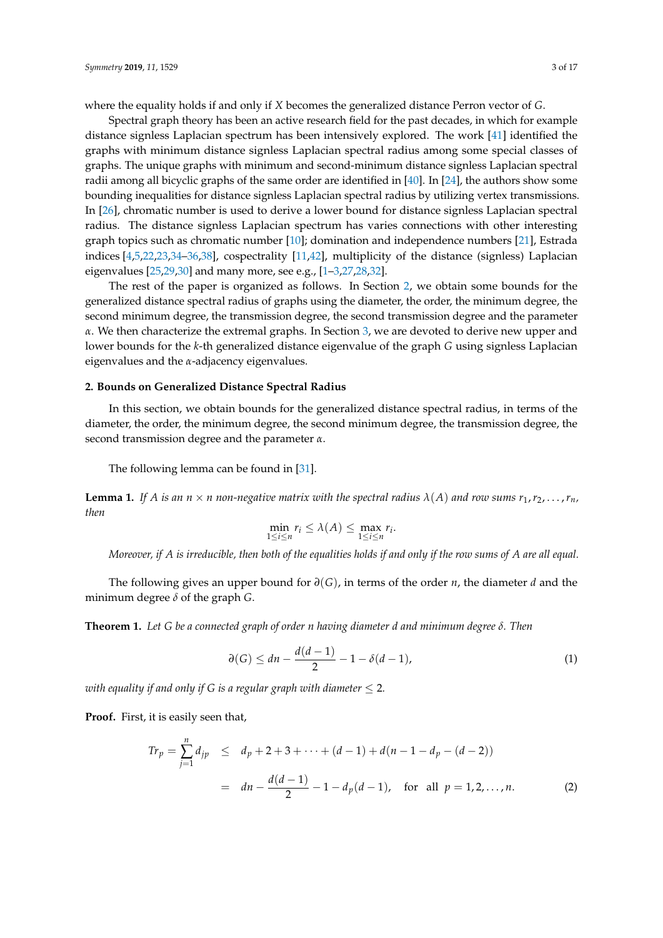where the equality holds if and only if *X* becomes the generalized distance Perron vector of *G*.

Spectral graph theory has been an active research field for the past decades, in which for example distance signless Laplacian spectrum has been intensively explored. The work [\[41\]](#page-16-1) identified the graphs with minimum distance signless Laplacian spectral radius among some special classes of graphs. The unique graphs with minimum and second-minimum distance signless Laplacian spectral radii among all bicyclic graphs of the same order are identified in [\[40\]](#page-16-2). In [\[24\]](#page-15-10), the authors show some bounding inequalities for distance signless Laplacian spectral radius by utilizing vertex transmissions. In [\[26\]](#page-15-11), chromatic number is used to derive a lower bound for distance signless Laplacian spectral radius. The distance signless Laplacian spectrum has varies connections with other interesting graph topics such as chromatic number [\[10\]](#page-15-12); domination and independence numbers [\[21\]](#page-15-13), Estrada indices [\[4](#page-15-14)[,5](#page-15-15)[,22](#page-15-16)[,23](#page-15-17)[,34](#page-16-3)[–36,](#page-16-4)[38\]](#page-16-5), cospectrality [\[11](#page-15-18)[,42\]](#page-16-6), multiplicity of the distance (signless) Laplacian eigenvalues [\[25,](#page-15-19)[29,](#page-15-20)[30\]](#page-16-7) and many more, see e.g., [\[1–](#page-14-0)[3](#page-15-21)[,27](#page-15-22)[,28,](#page-15-23)[32\]](#page-16-8).

The rest of the paper is organized as follows. In Section [2,](#page-2-0) we obtain some bounds for the generalized distance spectral radius of graphs using the diameter, the order, the minimum degree, the second minimum degree, the transmission degree, the second transmission degree and the parameter *α*. We then characterize the extremal graphs. In Section [3,](#page-8-0) we are devoted to derive new upper and lower bounds for the *k*-th generalized distance eigenvalue of the graph *G* using signless Laplacian eigenvalues and the *α*-adjacency eigenvalues.

#### <span id="page-2-0"></span>**2. Bounds on Generalized Distance Spectral Radius**

In this section, we obtain bounds for the generalized distance spectral radius, in terms of the diameter, the order, the minimum degree, the second minimum degree, the transmission degree, the second transmission degree and the parameter *α*.

The following lemma can be found in [\[31\]](#page-16-9).

**Lemma 1.** If *A* is an  $n \times n$  non-negative matrix with the spectral radius  $\lambda(A)$  and row sums  $r_1, r_2, \ldots, r_n$ , *then*

$$
\min_{1 \le i \le n} r_i \le \lambda(A) \le \max_{1 \le i \le n} r_i.
$$

*Moreover, if A is irreducible, then both of the equalities holds if and only if the row sums of A are all equal.*

The following gives an upper bound for *∂*(*G*), in terms of the order *n*, the diameter *d* and the minimum degree *δ* of the graph *G*.

<span id="page-2-3"></span>**Theorem 1.** *Let G be a connected graph of order n having diameter d and minimum degree δ. Then*

<span id="page-2-2"></span>
$$
\partial(G) \le dn - \frac{d(d-1)}{2} - 1 - \delta(d-1),
$$
 (1)

*with equality if and only if G is a regular graph with diameter*  $\leq$  2.

**Proof.** First, it is easily seen that,

<span id="page-2-1"></span>
$$
Tr_p = \sum_{j=1}^{n} d_{jp} \leq d_p + 2 + 3 + \dots + (d - 1) + d(n - 1 - d_p - (d - 2))
$$
  
=  $dn - \frac{d(d - 1)}{2} - 1 - d_p(d - 1)$ , for all  $p = 1, 2, ..., n$ . (2)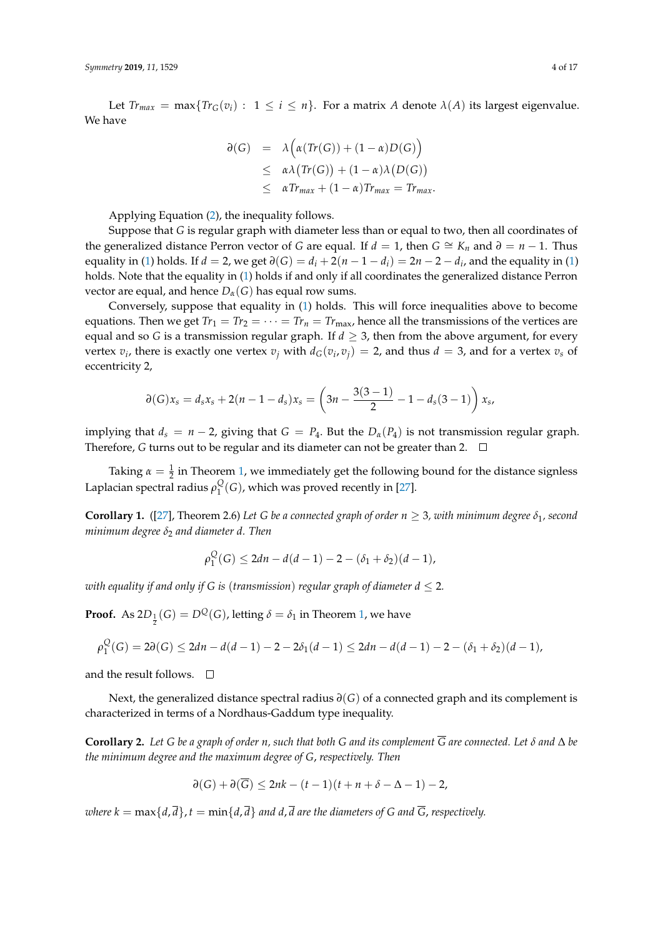Let  $Tr_{max} = max\{Tr_G(v_i) : 1 \le i \le n\}$ . For a matrix *A* denote  $\lambda(A)$  its largest eigenvalue. We have

<span id="page-3-0"></span>
$$
\begin{array}{rcl} \partial(G) & = & \lambda \Big( \alpha(Tr(G)) + (1 - \alpha)D(G) \Big) \\ & \leq & \alpha \lambda \big( Tr(G) \big) + (1 - \alpha) \lambda \big( D(G) \big) \\ & \leq & \alpha Tr_{max} + (1 - \alpha) Tr_{max} = Tr_{max} .\end{array}
$$

Applying Equation [\(2\)](#page-2-1), the inequality follows.

Suppose that *G* is regular graph with diameter less than or equal to two, then all coordinates of the generalized distance Perron vector of *G* are equal. If  $d = 1$ , then  $G \cong K_n$  and  $\partial = n - 1$ . Thus equality in [\(1\)](#page-2-2) holds. If  $d = 2$ , we get  $\partial(G) = d_i + 2(n - 1 - d_i) = 2n - 2 - d_i$ , and the equality in (1) holds. Note that the equality in [\(1\)](#page-2-2) holds if and only if all coordinates the generalized distance Perron vector are equal, and hence  $D_{\alpha}(G)$  has equal row sums.

Conversely, suppose that equality in [\(1\)](#page-2-2) holds. This will force inequalities above to become equations. Then we get  $Tr_1 = Tr_2 = \cdots = Tr_n = Tr_{\text{max}}$ , hence all the transmissions of the vertices are equal and so *G* is a transmission regular graph. If  $d \geq 3$ , then from the above argument, for every vertex  $v_i$ , there is exactly one vertex  $v_j$  with  $d_G(v_i, v_j) = 2$ , and thus  $d = 3$ , and for a vertex  $v_s$  of eccentricity 2,

$$
\partial(G)x_s = d_s x_s + 2(n-1-d_s)x_s = \left(3n - \frac{3(3-1)}{2} - 1 - d_s(3-1)\right)x_s,
$$

implying that  $d_s = n - 2$ , giving that  $G = P_4$ . But the  $D_\alpha(P_4)$  is not transmission regular graph. Therefore, *G* turns out to be regular and its diameter can not be greater than 2.  $\Box$ 

Taking  $\alpha = \frac{1}{2}$  in Theorem [1,](#page-2-3) we immediately get the following bound for the distance signless Laplacian spectral radius *ρ Q*  $\frac{Q}{1}(G)$ , which was proved recently in [\[27\]](#page-15-22).

**Corollary 1.** ([\[27\]](#page-15-22), Theorem 2.6) Let *G* be a connected graph of order  $n \geq 3$ , with minimum degree  $\delta_1$ , second *minimum degree*  $δ<sub>2</sub>$  *and diameter d. Then* 

$$
\rho_1^Q(G) \le 2dn - d(d-1) - 2 - (\delta_1 + \delta_2)(d-1),
$$

*with equality if and only if G is (transmission) regular graph of diameter*  $d \leq 2$ *.* 

**Proof.** As  $2D_{\frac{1}{2}}(G) = D^Q(G)$ , letting  $\delta = \delta_1$  in Theorem [1,](#page-2-3) we have

$$
\rho_1^Q(G) = 2\partial(G) \le 2dn - d(d-1) - 2 - 2\delta_1(d-1) \le 2dn - d(d-1) - 2 - (\delta_1 + \delta_2)(d-1),
$$

and the result follows.  $\square$ 

Next, the generalized distance spectral radius *∂*(*G*) of a connected graph and its complement is characterized in terms of a Nordhaus-Gaddum type inequality.

**Corollary 2.** *Let G be a graph of order n, such that both G and its complement G are connected. Let δ and* ∆ *be the minimum degree and the maximum degree of G*, *respectively. Then*

$$
\partial(G) + \partial(\overline{G}) \le 2nk - (t-1)(t+n+\delta-\Delta-1) - 2,
$$

*where k* =  $\max\{d, \overline{d}\}, t = \min\{d, \overline{d}\}$  *and*  $d, \overline{d}$  *are the diameters of G and*  $\overline{G}$ *, respectively.*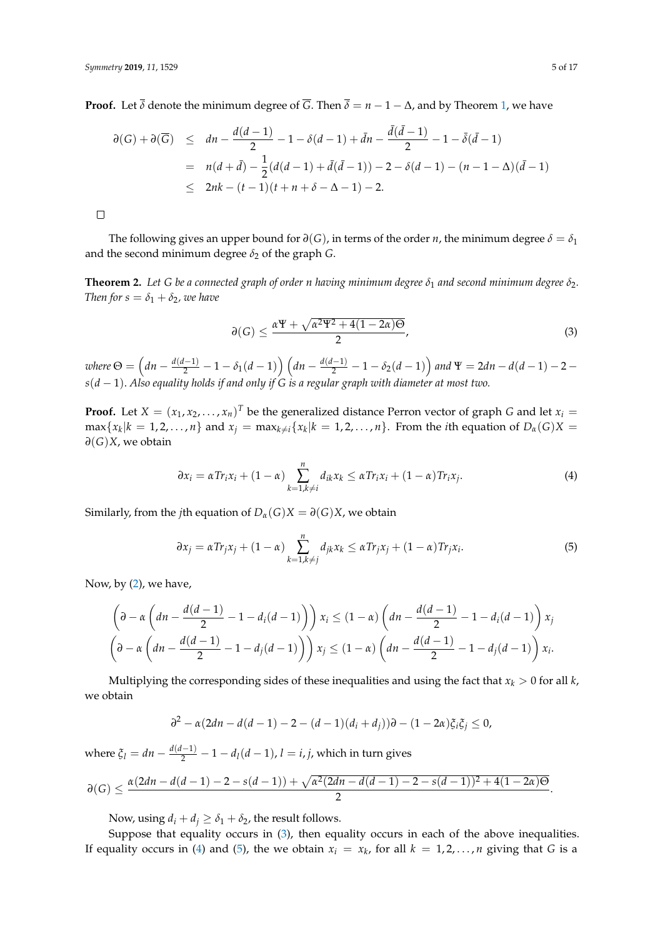**Proof.** Let  $\overline{\delta}$  denote the minimum degree of  $\overline{G}$ . Then  $\overline{\delta} = n - 1 - \Delta$ , and by Theorem [1,](#page-2-3) we have

$$
\begin{array}{lcl} \partial(G) + \partial(\overline{G}) & \leq & dn - \frac{d(d-1)}{2} - 1 - \delta(d-1) + \bar{d}n - \frac{\bar{d}(\bar{d}-1)}{2} - 1 - \bar{\delta}(\bar{d}-1) \\ & = & n(d+\bar{d}) - \frac{1}{2}(d(d-1) + \bar{d}(\bar{d}-1)) - 2 - \delta(d-1) - (n-1-\Delta)(\bar{d}-1) \\ & \leq & 2nk - (t-1)(t+n+\delta-\Delta-1) - 2. \end{array}
$$

 $\Box$ 

The following gives an upper bound for  $\partial(G)$ , in terms of the order *n*, the minimum degree  $\delta = \delta_1$ and the second minimum degree  $\delta_2$  of the graph *G*.

<span id="page-4-2"></span>**Theorem 2.** Let G be a connected graph of order *n* having minimum degree  $\delta_1$  and second minimum degree  $\delta_2$ . *Then for s* =  $\delta_1 + \delta_2$ *, we have* 

$$
\partial(G) \le \frac{\alpha \Psi + \sqrt{\alpha^2 \Psi^2 + 4(1 - 2\alpha)\Theta}}{2},\tag{3}
$$

 $where \,\Theta = \left(dn - \frac{d(d-1)}{2} - 1 - \delta_1(d-1)\right)\left(dn - \frac{d(d-1)}{2} - 1 - \delta_2(d-1)\right)$  and  $\Psi = 2dn - d(d-1) - 2 - 1$ *s*(*d* − 1). *Also equality holds if and only if G is a regular graph with diameter at most two.*

**Proof.** Let  $X = (x_1, x_2, \dots, x_n)^T$  be the generalized distance Perron vector of graph *G* and let  $x_i =$  $\max\{x_k|k=1,2,\ldots,n\}$  and  $x_j = \max_{k\neq i}\{x_k|k=1,2,\ldots,n\}$ . From the *i*th equation of  $D_\alpha(G)X =$ *∂*(*G*)*X*, we obtain

<span id="page-4-0"></span>
$$
\partial x_i = \alpha Tr_i x_i + (1 - \alpha) \sum_{k=1, k \neq i}^n d_{ik} x_k \leq \alpha Tr_i x_i + (1 - \alpha) Tr_i x_j.
$$
 (4)

Similarly, from the *j*th equation of  $D_{\alpha}(G)X = \partial(G)X$ , we obtain

<span id="page-4-1"></span>
$$
\partial x_j = \alpha Tr_j x_j + (1 - \alpha) \sum_{k=1, k \neq j}^n d_{jk} x_k \leq \alpha Tr_j x_j + (1 - \alpha) Tr_j x_i.
$$
 (5)

Now, by [\(2\)](#page-2-1), we have,

$$
\left(\partial - \alpha \left(dn - \frac{d(d-1)}{2} - 1 - d_i(d-1)\right)\right) x_i \le (1 - \alpha) \left(dn - \frac{d(d-1)}{2} - 1 - d_i(d-1)\right) x_j
$$
  

$$
\left(\partial - \alpha \left(dn - \frac{d(d-1)}{2} - 1 - d_j(d-1)\right)\right) x_j \le (1 - \alpha) \left(dn - \frac{d(d-1)}{2} - 1 - d_j(d-1)\right) x_i.
$$

Multiplying the corresponding sides of these inequalities and using the fact that  $x_k > 0$  for all  $k$ , we obtain

$$
\partial^2 - \alpha(2dn - d(d-1) - 2 - (d-1)(d_i + d_j))\partial - (1 - 2\alpha)\xi_i\xi_j \leq 0,
$$

where  $\xi_l = dn - \frac{d(d-1)}{2} - 1 - d_l(d-1)$ ,  $l = i, j$ , which in turn gives

$$
\partial(G) \leq \frac{\alpha(2dn - d(d-1) - 2 - s(d-1)) + \sqrt{\alpha^2(2dn - d(d-1) - 2 - s(d-1))^2 + 4(1-2\alpha)\Theta}}{2}.
$$

Now, using  $d_i + d_j \geq \delta_1 + \delta_2$ , the result follows.

Suppose that equality occurs in [\(3\)](#page-3-0), then equality occurs in each of the above inequalities. If equality occurs in [\(4\)](#page-4-0) and [\(5\)](#page-4-1), the we obtain  $x_i = x_k$ , for all  $k = 1, 2, ..., n$  giving that G is a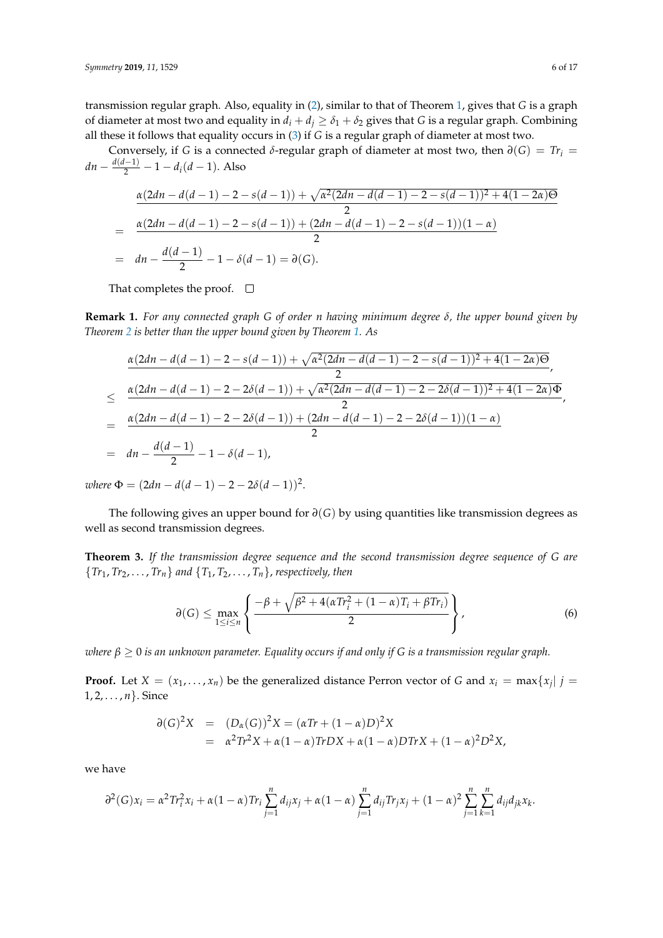transmission regular graph. Also, equality in [\(2\)](#page-2-1), similar to that of Theorem [1,](#page-2-3) gives that *G* is a graph of diameter at most two and equality in  $d_i + d_j \geq \delta_1 + \delta_2$  gives that *G* is a regular graph. Combining all these it follows that equality occurs in [\(3\)](#page-3-0) if *G* is a regular graph of diameter at most two.

Conversely, if *G* is a connected  $\delta$ -regular graph of diameter at most two, then  $\partial(G) = Tr_i$  $dn - \frac{d(d-1)}{2} - 1 - d_i(d-1)$ . Also

$$
\frac{\alpha(2dn - d(d-1) - 2 - s(d-1)) + \sqrt{\alpha^2(2dn - d(d-1) - 2 - s(d-1))^2 + 4(1 - 2\alpha)\Theta}}{2}
$$
\n
$$
= \frac{\alpha(2dn - d(d-1) - 2 - s(d-1)) + (2dn - d(d-1) - 2 - s(d-1))(1 - \alpha)}{2}
$$
\n
$$
= dn - \frac{d(d-1)}{2} - 1 - \delta(d-1) = \partial(G).
$$

That completes the proof.  $\square$ 

**Remark 1.** *For any connected graph G of order n having minimum degree δ, the upper bound given by Theorem [2](#page-4-2) is better than the upper bound given by Theorem [1.](#page-2-3) As*

$$
\frac{\alpha(2dn - d(d-1) - 2 - s(d-1)) + \sqrt{\alpha^2(2dn - d(d-1) - 2 - s(d-1))^2 + 4(1 - 2\alpha)\Theta}}{2},
$$
\n
$$
\leq \frac{\alpha(2dn - d(d-1) - 2 - 2\delta(d-1)) + \sqrt{\alpha^2(2dn - d(d-1) - 2 - 2\delta(d-1))^2 + 4(1 - 2\alpha)\Phi}}{2},
$$
\n
$$
= \frac{\alpha(2dn - d(d-1) - 2 - 2\delta(d-1)) + (2dn - d(d-1) - 2 - 2\delta(d-1))(1 - \alpha)}{2},
$$
\n
$$
= dn - \frac{d(d-1)}{2} - 1 - \delta(d-1),
$$

 $where \Phi = (2dn - d(d-1) - 2 - 2\delta(d-1))^2.$ 

The following gives an upper bound for *∂*(*G*) by using quantities like transmission degrees as well as second transmission degrees.

<span id="page-5-1"></span>**Theorem 3.** *If the transmission degree sequence and the second transmission degree sequence of G are*  ${Tr_1, Tr_2, ..., Tr_n}$  *and*  ${T_1, T_2, ..., T_n}$ , *respectively, then* 

<span id="page-5-0"></span>
$$
\partial(G) \leq \max_{1 \leq i \leq n} \left\{ \frac{-\beta + \sqrt{\beta^2 + 4(\alpha Tr_i^2 + (1 - \alpha)T_i + \beta Tr_i)}}{2} \right\},
$$
(6)

*where β* ≥ 0 *is an unknown parameter. Equality occurs if and only if G is a transmission regular graph.*

**Proof.** Let  $X = (x_1, \ldots, x_n)$  be the generalized distance Perron vector of *G* and  $x_i = \max\{x_j | j = i\}$ 1, 2, . . . , *n*}. Since

$$
\partial(G)^{2}X = (D_{\alpha}(G))^{2}X = (\alpha Tr + (1 - \alpha)D)^{2}X
$$
  
=  $\alpha^{2}Tr^{2}X + \alpha(1 - \alpha)TrDX + \alpha(1 - \alpha)DTrX + (1 - \alpha)^{2}D^{2}X,$ 

we have

$$
\partial^2(G)x_i = \alpha^2 Tr_i^2 x_i + \alpha (1-\alpha) Tr_i \sum_{j=1}^n d_{ij}x_j + \alpha (1-\alpha) \sum_{j=1}^n d_{ij} Tr_j x_j + (1-\alpha)^2 \sum_{j=1}^n \sum_{k=1}^n d_{ij} d_{jk} x_k.
$$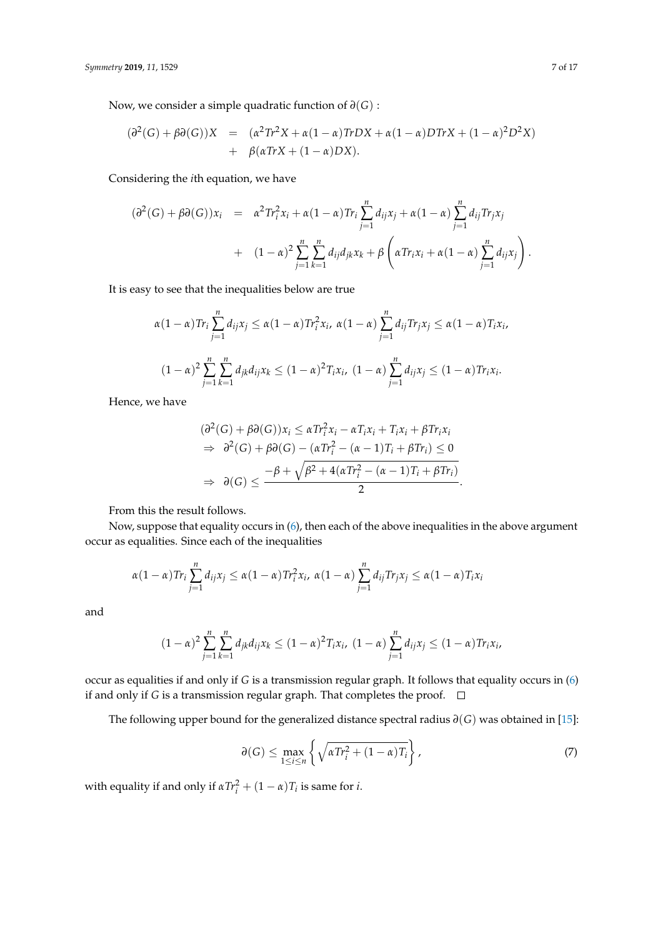Now, we consider a simple quadratic function of *∂*(*G*) :

$$
(\partial^2(G) + \beta \partial(G))X = (\alpha^2 Tr^2 X + \alpha (1 - \alpha) TrDX + \alpha (1 - \alpha) DTrX + (1 - \alpha)^2 D^2 X) + \beta(\alpha TrX + (1 - \alpha) DX).
$$

Considering the *i*th equation, we have

$$
(\partial^{2}(G) + \beta \partial(G))x_{i} = \alpha^{2}Tr_{i}^{2}x_{i} + \alpha(1-\alpha)Tr_{i}\sum_{j=1}^{n}d_{ij}x_{j} + \alpha(1-\alpha)\sum_{j=1}^{n}d_{ij}Tr_{j}x_{j} + (1-\alpha)^{2}\sum_{j=1}^{n}\sum_{k=1}^{n}d_{ij}d_{jk}x_{k} + \beta\left(\alpha Tr_{i}x_{i} + \alpha(1-\alpha)\sum_{j=1}^{n}d_{ij}x_{j}\right).
$$

It is easy to see that the inequalities below are true

$$
\alpha(1-\alpha)Tr_i \sum_{j=1}^n d_{ij}x_j \leq \alpha(1-\alpha)Tr_i^2x_i, \ \alpha(1-\alpha) \sum_{j=1}^n d_{ij}Tr_jx_j \leq \alpha(1-\alpha)T_ix_i,
$$
  

$$
(1-\alpha)^2 \sum_{j=1}^n \sum_{k=1}^n d_{jk}d_{ij}x_k \leq (1-\alpha)^2T_ix_i, \ (1-\alpha) \sum_{j=1}^n d_{ij}x_j \leq (1-\alpha)Tr_ix_i.
$$

Hence, we have

$$
(\partial^2(G) + \beta \partial(G))x_i \leq \alpha Tr_i^2 x_i - \alpha T_i x_i + T_i x_i + \beta Tr_i x_i
$$
  
\n
$$
\Rightarrow \partial^2(G) + \beta \partial(G) - (\alpha Tr_i^2 - (\alpha - 1)T_i + \beta Tr_i) \leq 0
$$
  
\n
$$
\Rightarrow \partial(G) \leq \frac{-\beta + \sqrt{\beta^2 + 4(\alpha Tr_i^2 - (\alpha - 1)T_i + \beta Tr_i)}}{2}.
$$

From this the result follows.

Now, suppose that equality occurs in [\(6\)](#page-5-0), then each of the above inequalities in the above argument occur as equalities. Since each of the inequalities

$$
\alpha(1-\alpha)Tr_i\sum_{j=1}^n d_{ij}x_j \leq \alpha(1-\alpha)Tr_i^2x_i, \ \alpha(1-\alpha)\sum_{j=1}^n d_{ij}Tr_jx_j \leq \alpha(1-\alpha)T_ix_i
$$

and

$$
(1-\alpha)^2 \sum_{j=1}^n \sum_{k=1}^n d_{jk} d_{ij} x_k \le (1-\alpha)^2 T_i x_i, \ (1-\alpha) \sum_{j=1}^n d_{ij} x_j \le (1-\alpha) Tr_i x_i,
$$

occur as equalities if and only if *G* is a transmission regular graph. It follows that equality occurs in [\(6\)](#page-5-0) if and only if *G* is a transmission regular graph. That completes the proof.  $\Box$ 

The following upper bound for the generalized distance spectral radius *∂*(*G*) was obtained in [\[15\]](#page-15-9):

<span id="page-6-0"></span>
$$
\partial(G) \le \max_{1 \le i \le n} \left\{ \sqrt{\alpha Tr_i^2 + (1 - \alpha)T_i} \right\},\tag{7}
$$

with equality if and only if  $\alpha Tr_i^2 + (1 - \alpha)T_i$  is same for *i*.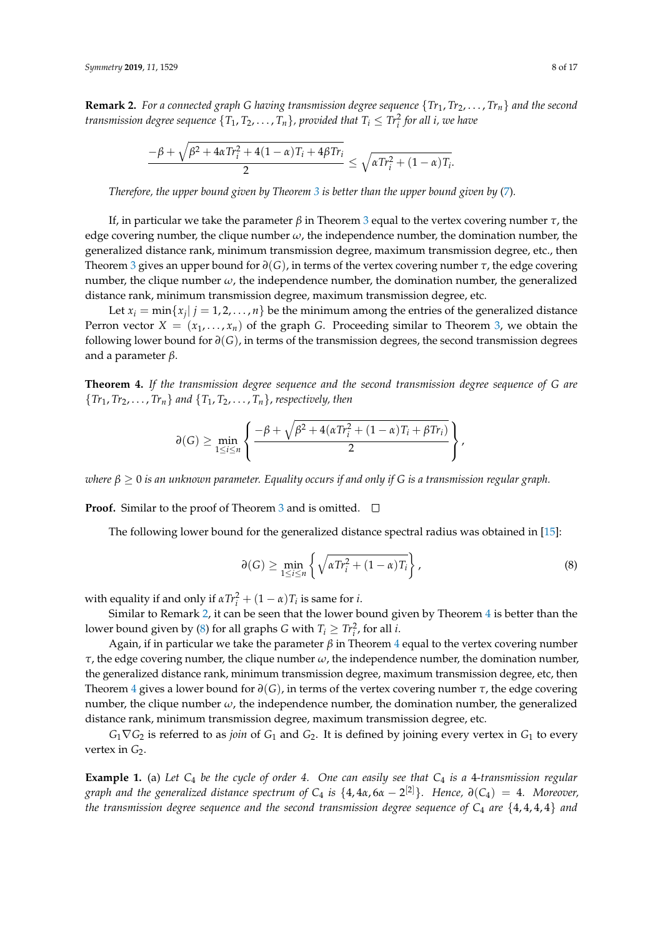<span id="page-7-0"></span>**Remark 2.** For a connected graph G having transmission degree sequence  $\{Tr_1, Tr_2, \ldots, Tr_n\}$  and the second *transmission degree sequence*  $\{T_1, T_2, \ldots, T_n\}$ , provided that  $T_i \leq T r_i^2$  for all i, we have

$$
\frac{-\beta+\sqrt{\beta^2+4\alpha Tr_i^2+4(1-\alpha)T_i+4\beta Tr_i}}{2}\leq \sqrt{\alpha Tr_i^2+(1-\alpha)T_i}.
$$

*Therefore, the upper bound given by Theorem [3](#page-5-1) is better than the upper bound given by* [\(7\)](#page-6-0)*.*

If, in particular we take the parameter *β* in Theorem [3](#page-5-1) equal to the vertex covering number *τ*, the edge covering number, the clique number *ω*, the independence number, the domination number, the generalized distance rank, minimum transmission degree, maximum transmission degree, etc., then Theorem [3](#page-5-1) gives an upper bound for *∂*(*G*), in terms of the vertex covering number *τ*, the edge covering number, the clique number  $\omega$ , the independence number, the domination number, the generalized distance rank, minimum transmission degree, maximum transmission degree, etc.

Let  $x_i = \min\{x_j | j = 1, 2, ..., n\}$  be the minimum among the entries of the generalized distance Perron vector  $X = (x_1, \ldots, x_n)$  of the graph *G*. Proceeding similar to Theorem [3,](#page-5-1) we obtain the following lower bound for *∂*(*G*), in terms of the transmission degrees, the second transmission degrees and a parameter *β*.

<span id="page-7-1"></span>**Theorem 4.** *If the transmission degree sequence and the second transmission degree sequence of G are*  ${Tr_1, Tr_2, \ldots, Tr_n}$  *and*  ${T_1, T_2, \ldots, T_n}$ , *respectively, then* 

$$
\partial(G) \geq \min_{1 \leq i \leq n} \left\{ \frac{-\beta + \sqrt{\beta^2 + 4(\alpha Tr_i^2 + (1 - \alpha)T_i + \beta Tr_i)}}{2} \right\},\,
$$

*where β* ≥ 0 *is an unknown parameter. Equality occurs if and only if G is a transmission regular graph.*

**Proof.** Similar to the proof of Theorem [3](#page-5-1) and is omitted.  $\Box$ 

The following lower bound for the generalized distance spectral radius was obtained in [\[15\]](#page-15-9):

<span id="page-7-2"></span>
$$
\partial(G) \ge \min_{1 \le i \le n} \left\{ \sqrt{\alpha Tr_i^2 + (1 - \alpha)T_i} \right\},\tag{8}
$$

with equality if and only if  $\alpha Tr_i^2 + (1 - \alpha)T_i$  is same for *i*.

Similar to Remark [2,](#page-7-0) it can be seen that the lower bound given by Theorem [4](#page-7-1) is better than the lower bound given by [\(8\)](#page-7-2) for all graphs *G* with  $T_i \geq T r_i^2$ , for all *i*.

Again, if in particular we take the parameter  $\beta$  in Theorem [4](#page-7-1) equal to the vertex covering number *τ*, the edge covering number, the clique number *ω*, the independence number, the domination number, the generalized distance rank, minimum transmission degree, maximum transmission degree, etc, then Theorem [4](#page-7-1) gives a lower bound for *∂*(*G*), in terms of the vertex covering number *τ*, the edge covering number, the clique number  $\omega$ , the independence number, the domination number, the generalized distance rank, minimum transmission degree, maximum transmission degree, etc.

 $G_1 \nabla G_2$  is referred to as *join* of  $G_1$  and  $G_2$ . It is defined by joining every vertex in  $G_1$  to every vertex in  $G_2$ .

**Example 1.** (a) *Let C*<sup>4</sup> *be the cycle of order 4. One can easily see that C*<sup>4</sup> *is a* 4*-transmission regular graph and the generalized distance spectrum of C*<sup>4</sup> *is* {4, 4*α*, 6*α* − 2 [2]}*. Hence, ∂*(*C*4) = 4*. Moreover, the transmission degree sequence and the second transmission degree sequence of C*<sup>4</sup> *are* {4, 4, 4, 4} *and*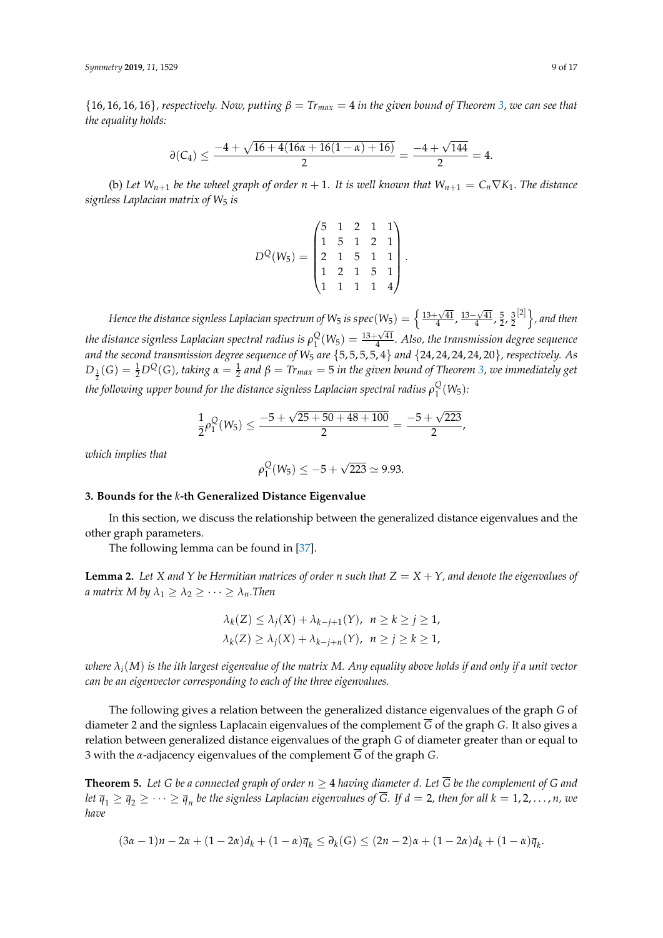${16, 16, 16}$ , respectively. Now, putting  $\beta = Tr_{max} = 4$  in the given bound of Theorem [3,](#page-5-1) we can see that *the equality holds:*

$$
\partial(C_4)\leq \frac{-4+\sqrt{16+4(16\alpha+16(1-\alpha)+16)}}{2}=\frac{-4+\sqrt{144}}{2}=4.
$$

(b) Let  $W_{n+1}$  be the wheel graph of order  $n+1$ . It is well known that  $W_{n+1} = C_n \nabla K_1$ . The distance *signless Laplacian matrix of W*<sup>5</sup> *is*

$$
D^{Q}(W_5) = \begin{pmatrix} 5 & 1 & 2 & 1 & 1 \\ 1 & 5 & 1 & 2 & 1 \\ 2 & 1 & 5 & 1 & 1 \\ 1 & 2 & 1 & 5 & 1 \\ 1 & 1 & 1 & 1 & 4 \end{pmatrix}.
$$

*Hence the distance signless Laplacian spectrum of W<sub>5</sub> is spec(W<sub>5</sub>) =*  $\Big\{ \frac{13+\sqrt{41}}{4}, \frac{13-\sqrt{41}}{4}, \frac{5}{2}, \frac{3}{2}$  $\{2\}$ , and then the distance signless Laplacian spectral radius is  $\rho_1^\mathbb{Q}$  $\frac{Q}{1}(W_5) = \frac{13+\sqrt{41}}{4}$ . Also, the transmission degree sequence *and the second transmission degree sequence of W*<sup>5</sup> *are* {5, 5, 5, 5, 4} *and* {24, 24, 24, 24, 20}*, respectively. As*  $D_{\frac{1}{2}}(G) = \frac{1}{2}D^Q(G)$ , taking  $\alpha = \frac{1}{2}$  and  $\beta = Tr_{max} = 5$  in the given bound of Theorem [3,](#page-5-1) we immediately get the following upper bound for the distance signless Laplacian spectral radius  $\rho_1^{\mathbb{Q}}$  $_{1}^{Q}(W_{5})$ :

$$
\frac{1}{2}\rho_1^Q(W_5) \le \frac{-5+\sqrt{25+50+48+100}}{2} = \frac{-5+\sqrt{223}}{2},
$$

*which implies that*

$$
\rho_1^{\mathcal{Q}}(W_5) \le -5 + \sqrt{223} \simeq 9.93.
$$

#### <span id="page-8-0"></span>**3. Bounds for the** *k***-th Generalized Distance Eigenvalue**

In this section, we discuss the relationship between the generalized distance eigenvalues and the other graph parameters.

The following lemma can be found in [\[37\]](#page-16-10).

<span id="page-8-1"></span>**Lemma 2.** Let *X* and *Y* be Hermitian matrices of order *n* such that  $Z = X + Y$ , and denote the eigenvalues of *a matrix M by*  $\lambda_1 \geq \lambda_2 \geq \cdots \geq \lambda_n$ . Then

$$
\lambda_k(Z) \le \lambda_j(X) + \lambda_{k-j+1}(Y), \quad n \ge k \ge j \ge 1,
$$
  

$$
\lambda_k(Z) \ge \lambda_j(X) + \lambda_{k-j+n}(Y), \quad n \ge j \ge k \ge 1,
$$

*where λi*(*M*) *is the ith largest eigenvalue of the matrix M. Any equality above holds if and only if a unit vector can be an eigenvector corresponding to each of the three eigenvalues.*

The following gives a relation between the generalized distance eigenvalues of the graph *G* of diameter 2 and the signless Laplacain eigenvalues of the complement  $\overline{G}$  of the graph *G*. It also gives a relation between generalized distance eigenvalues of the graph *G* of diameter greater than or equal to 3 with the *α*-adjacency eigenvalues of the complement *G* of the graph *G*.

<span id="page-8-2"></span>**Theorem 5.** Let G be a connected graph of order  $n \geq 4$  having diameter d. Let  $\overline{G}$  be the complement of G and  $det\ \overline q_1\ge\overline q_2\ge\cdots\ge\overline q_n$  be the signless Laplacian eigenvalues of  $\overline G.$  If  $d=2$ , then for all  $k=1,2,\ldots,n$ , we *have*

$$
(3\alpha-1)n-2\alpha+(1-2\alpha)d_k+(1-\alpha)\overline{q}_k\leq \partial_k(G)\leq (2n-2)\alpha+(1-2\alpha)d_k+(1-\alpha)\overline{q}_k.
$$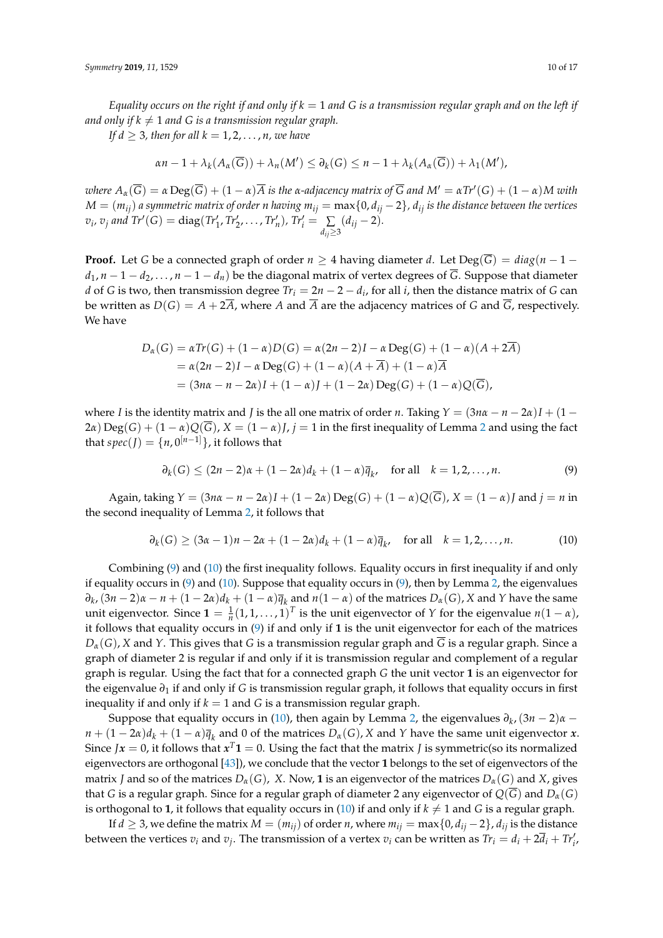*Equality occurs on the right if and only if*  $k = 1$  *and G is a transmission regular graph and on the left if and only if*  $k \neq 1$  *and G is a transmission regular graph.* 

*If d*  $\geq$  3, then for all  $k = 1, 2, \ldots, n$ , we have

$$
\alpha n - 1 + \lambda_k(A_\alpha(\overline{G})) + \lambda_n(M') \leq \partial_k(G) \leq n - 1 + \lambda_k(A_\alpha(\overline{G})) + \lambda_1(M'),
$$

where  $A_\alpha(\overline{G})=\alpha\operatorname{Deg}(\overline{G})+(1-\alpha)\overline{A}$  is the α-adjacency matrix of  $\overline{G}$  and  $M'=\alpha Tr'(G)+(1-\alpha)M$  with  $M = (m_{ij})$  *a symmetric matrix of order n having*  $m_{ij} = \max\{0, d_{ij} - 2\}$ ,  $d_{ij}$  *is the distance between the vertices*  $v_i$ *,*  $v_j$  *and Tr'*(*G*) = diag(*Tr'*<sub>1</sub>*, Tr'*<sub>2</sub>*,...,Tr'<sub>n</sub>*)*,Tr'<sub>i</sub>* =  $\sum_{d_{ij}\geq 3}$  $(d_{ij} - 2)$ .

**Proof.** Let *G* be a connected graph of order  $n \geq 4$  having diameter *d*. Let  $\text{Deg}(\overline{G}) = \text{diag}(n-1-1)$  $d_1$ ,  $n-1-d_2$ , ...,  $n-1-d_n$ ) be the diagonal matrix of vertex degrees of  $\overline{G}$ . Suppose that diameter *d* of *G* is two, then transmission degree  $Tr_i = 2n - 2 - d_i$ , for all *i*, then the distance matrix of *G* can be written as  $D(G) = A + 2\overline{A}$ , where *A* and  $\overline{A}$  are the adjacency matrices of *G* and  $\overline{G}$ , respectively. We have

$$
D_{\alpha}(G) = \alpha Tr(G) + (1 - \alpha)D(G) = \alpha (2n - 2)I - \alpha Deg(G) + (1 - \alpha)(A + 2\overline{A})
$$
  
=  $\alpha (2n - 2)I - \alpha Deg(G) + (1 - \alpha)(A + \overline{A}) + (1 - \alpha)\overline{A}$   
=  $(3n\alpha - n - 2\alpha)I + (1 - \alpha)J + (1 - 2\alpha)Deg(G) + (1 - \alpha)Q(\overline{G}),$ 

where *I* is the identity matrix and *J* is the all one matrix of order *n*. Taking  $Y = (3n\alpha - n - 2\alpha)I + (1 -$ [2](#page-8-1)*α*) Deg(*G*) +  $(1 - \alpha)Q(\overline{G})$ ,  $X = (1 - \alpha)J$ ,  $j = 1$  in the first inequality of Lemma 2 and using the fact that  $spec(J) = {n, 0}^{[n-1]}$ , it follows that

<span id="page-9-1"></span><span id="page-9-0"></span>
$$
\partial_k(G) \le (2n-2)\alpha + (1-2\alpha)d_k + (1-\alpha)\overline{q}_k, \quad \text{for all} \quad k = 1, 2, \dots, n. \tag{9}
$$

 $\Delta$ *Again, taking*  $Y = (3n\alpha - n - 2\alpha)I + (1 - 2\alpha) \operatorname{Deg}(G) + (1 - \alpha)Q(\overline{G})$ *,*  $X = (1 - \alpha)I$  *and*  $i = n$  *in* the second inequality of Lemma [2,](#page-8-1) it follows that

$$
\partial_k(G) \ge (3\alpha - 1)n - 2\alpha + (1 - 2\alpha)d_k + (1 - \alpha)\overline{q}_k, \text{ for all } k = 1, 2, ..., n. \tag{10}
$$

Combining [\(9\)](#page-9-0) and [\(10\)](#page-9-1) the first inequality follows. Equality occurs in first inequality if and only if equality occurs in [\(9\)](#page-9-0) and [\(10\)](#page-9-1). Suppose that equality occurs in [\(9\)](#page-9-0), then by Lemma [2,](#page-8-1) the eigenvalues  $\partial_k$ ,  $(3n-2)\alpha - n + (1-2\alpha)d_k + (1-\alpha)\overline{q}_k$  and  $n(1-\alpha)$  of the matrices  $D_\alpha(G)$ , X and Y have the same unit eigenvector. Since  $\mathbf{1} = \frac{1}{n}(1, 1, \dots, 1)^T$  is the unit eigenvector of *Y* for the eigenvalue  $n(1 - \alpha)$ , it follows that equality occurs in [\(9\)](#page-9-0) if and only if **1** is the unit eigenvector for each of the matrices  $D_{\alpha}(G)$ , *X* and *Y*. This gives that *G* is a transmission regular graph and  $\overline{G}$  is a regular graph. Since a graph of diameter 2 is regular if and only if it is transmission regular and complement of a regular graph is regular. Using the fact that for a connected graph *G* the unit vector **1** is an eigenvector for the eigenvalue *∂*<sup>1</sup> if and only if *G* is transmission regular graph, it follows that equality occurs in first inequality if and only if  $k = 1$  and *G* is a transmission regular graph.

Suppose that equality occurs in [\(10\)](#page-9-1), then again by Lemma [2,](#page-8-1) the eigenvalues *∂<sup>k</sup>* ,(3*n* − 2)*α* −  $n + (1 - 2\alpha)d_k + (1 - \alpha)\overline{q}_k$  and 0 of the matrices  $D_\alpha(G)$ , *X* and *Y* have the same unit eigenvector *x*. Since *Jx* = 0, it follows that  $x^T\mathbf{1} = 0$ . Using the fact that the matrix *J* is symmetric(so its normalized eigenvectors are orthogonal [\[43\]](#page-16-11)), we conclude that the vector **1** belongs to the set of eigenvectors of the matrix *J* and so of the matrices  $D_{\alpha}(G)$ , *X*. Now, **1** is an eigenvector of the matrices  $D_{\alpha}(G)$  and *X*, gives that *G* is a regular graph. Since for a regular graph of diameter 2 any eigenvector of  $Q(\overline{G})$  and  $D_{\alpha}(G)$ is orthogonal to **1**, it follows that equality occurs in [\(10\)](#page-9-1) if and only if  $k \neq 1$  and *G* is a regular graph.

If *d* ≥ 3, we define the matrix *M* =  $(m_{ij})$  of order *n*, where  $m_{ij} = \max\{0, d_{ij} - 2\}$ ,  $d_{ij}$  is the distance between the vertices  $v_i$  and  $v_j$ . The transmission of a vertex  $v_i$  can be written as  $Tr_i = d_i + 2\overline{d_i} + Tr'_i$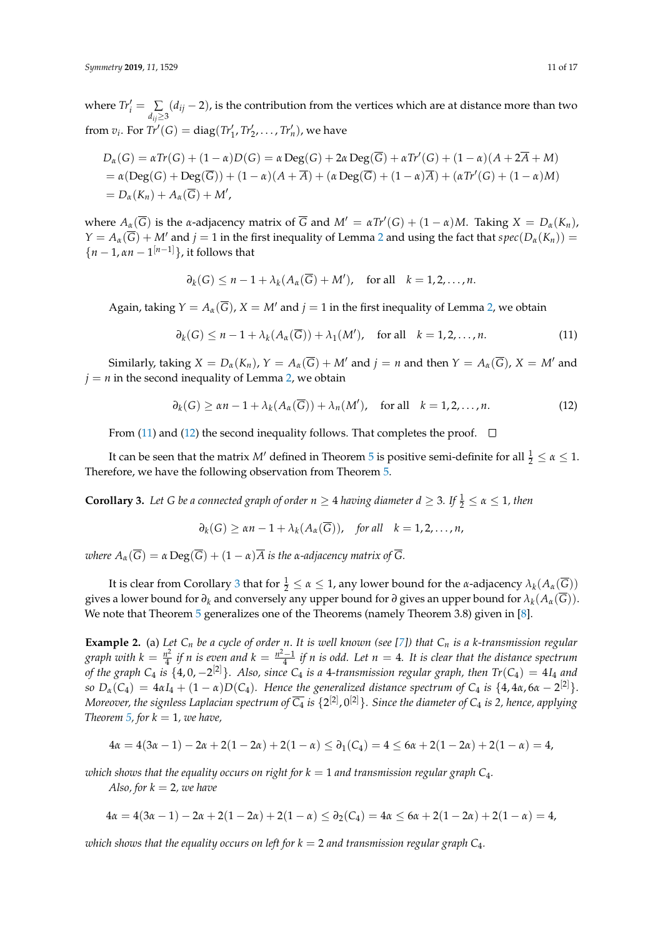where  $Tr'_i = \sum_{d_{ij}\geq 3}$ (*dij* − 2), is the contribution from the vertices which are at distance more than two from  $v_i$ . For  $Tr'(G) = diag(Tr'_1, Tr'_2, ..., Tr'_n)$ , we have

$$
D_{\alpha}(G) = \alpha Tr(G) + (1 - \alpha)D(G) = \alpha \operatorname{Deg}(G) + 2\alpha \operatorname{Deg}(\overline{G}) + \alpha Tr'(G) + (1 - \alpha)(A + 2\overline{A} + M)
$$
  
=  $\alpha(\operatorname{Deg}(G) + \operatorname{Deg}(\overline{G})) + (1 - \alpha)(A + \overline{A}) + (\alpha \operatorname{Deg}(\overline{G}) + (1 - \alpha)\overline{A}) + (\alpha Tr'(G) + (1 - \alpha)M)$   
=  $D_{\alpha}(K_n) + A_{\alpha}(\overline{G}) + M',$ 

where  $A_\alpha(\overline{G})$  is the *α*-adjacency matrix of  $\overline{G}$  and  $M' = \alpha Tr'(G) + (1 - \alpha)M$ . Taking  $X = D_\alpha(K_n)$ ,  $Y = A_\alpha(\overline{G}) + M'$  and  $j = 1$  in the first inequality of Lemma [2](#page-8-1) and using the fact that  $spec(D_\alpha(K_n))$  ${n-1, \alpha n-1}$ <sup>[*n*-1]</sup>}, it follows that

<span id="page-10-0"></span>
$$
\partial_k(G) \leq n-1 + \lambda_k(A_\alpha(\overline{G}) + M'), \text{ for all } k = 1, 2, ..., n.
$$

Again, taking  $Y = A_\alpha(\overline{G})$ ,  $X = M'$  and  $j = 1$  in the first inequality of Lemma [2,](#page-8-1) we obtain

$$
\partial_k(G) \le n - 1 + \lambda_k(A_\alpha(\overline{G})) + \lambda_1(M'), \quad \text{for all} \quad k = 1, 2, \dots, n. \tag{11}
$$

Similarly, taking  $X = D_{\alpha}(K_n)$ ,  $Y = A_{\alpha}(\overline{G}) + M'$  and  $j = n$  and then  $Y = A_{\alpha}(\overline{G})$ ,  $X = M'$  and  $j = n$  in the second inequality of Lemma [2,](#page-8-1) we obtain

$$
\partial_k(G) \ge \alpha n - 1 + \lambda_k(A_\alpha(\overline{G})) + \lambda_n(M'), \quad \text{for all} \quad k = 1, 2, \dots, n. \tag{12}
$$

From [\(11\)](#page-10-0) and [\(12\)](#page-10-1) the second inequality follows. That completes the proof.  $\Box$ 

It can be seen that the matrix  $M'$  defined in Theorem [5](#page-8-2) is positive semi-definite for all  $\frac{1}{2} \leq \alpha \leq 1$ . Therefore, we have the following observation from Theorem [5.](#page-8-2)

<span id="page-10-2"></span>**Corollary 3.** Let G be a connected graph of order  $n \geq 4$  having diameter  $d \geq 3$ . If  $\frac{1}{2} \leq \alpha \leq 1$ , then

<span id="page-10-1"></span>
$$
\partial_k(G) \geq \alpha n - 1 + \lambda_k(A_\alpha(\overline{G})), \quad \text{for all} \quad k = 1, 2, \ldots, n,
$$

*where*  $A_\alpha(\overline{G}) = \alpha \operatorname{Deg}(\overline{G}) + (1 - \alpha)\overline{A}$  *is the*  $\alpha$ -adjacency matrix of  $\overline{G}$ *.* 

It is clear from Corollary [3](#page-10-2) that for  $\frac{1}{2} \leq \alpha \leq 1$ , any lower bound for the *α*-adjacency  $\lambda_k(A_\alpha(\overline{G}))$ gives a lower bound for  $\partial_k$  and conversely any upper bound for  $\partial$  gives an upper bound for  $\lambda_k(A_\alpha(G)).$ We note that Theorem [5](#page-8-2) generalizes one of the Theorems (namely Theorem 3.8) given in [\[8\]](#page-15-24).

**Example 2.** (a) *Let C<sup>n</sup> be a cycle of order n*. *It is well known (see [\[7\]](#page-15-4)) that C<sup>n</sup> is a k-transmission regular graph with*  $k = \frac{n^2}{4}$  $\frac{n^2}{4}$  *if n is even and*  $k = \frac{n^2-1}{4}$  *if n is odd.* Let  $n = 4$ . It *is clear that the distance spectrum of the graph*  $C_4$  *is*  $\{4, 0, -2^{[2]}\}$ . Also, since  $C_4$  *is a* 4-transmission regular graph, then  $Tr(C_4) = 4I_4$  and *so*  $D_{\alpha}(C_4) = 4\alpha I_4 + (1 - \alpha)D(C_4)$ *. Hence the generalized distance spectrum of*  $C_4$  *is*  $\{4, 4\alpha, 6\alpha - 2^{[2]}\}$ *.* Moreover, the signless Laplacian spectrum of  $\overline{C_4}$  is  $\{2^{[2]},0^{[2]}\}$ . Since the diameter of  $C_4$  is 2, hence, applying *Theorem* [5,](#page-8-2) for  $k = 1$ , we have,

$$
4\alpha = 4(3\alpha - 1) - 2\alpha + 2(1 - 2\alpha) + 2(1 - \alpha) \le \partial_1(C_4) = 4 \le 6\alpha + 2(1 - 2\alpha) + 2(1 - \alpha) = 4,
$$

*which shows that the equality occurs on right for*  $k = 1$  *and transmission regular graph*  $C_4$ *.* 

*Also, for*  $k = 2$ *, we have* 

 $4\alpha = 4(3\alpha - 1) - 2\alpha + 2(1 - 2\alpha) + 2(1 - \alpha) \leq \partial_2(C_4) = 4\alpha \leq 6\alpha + 2(1 - 2\alpha) + 2(1 - \alpha) = 4$ 

*which shows that the equality occurs on left for*  $k = 2$  *and transmission regular graph*  $C_4$ *.*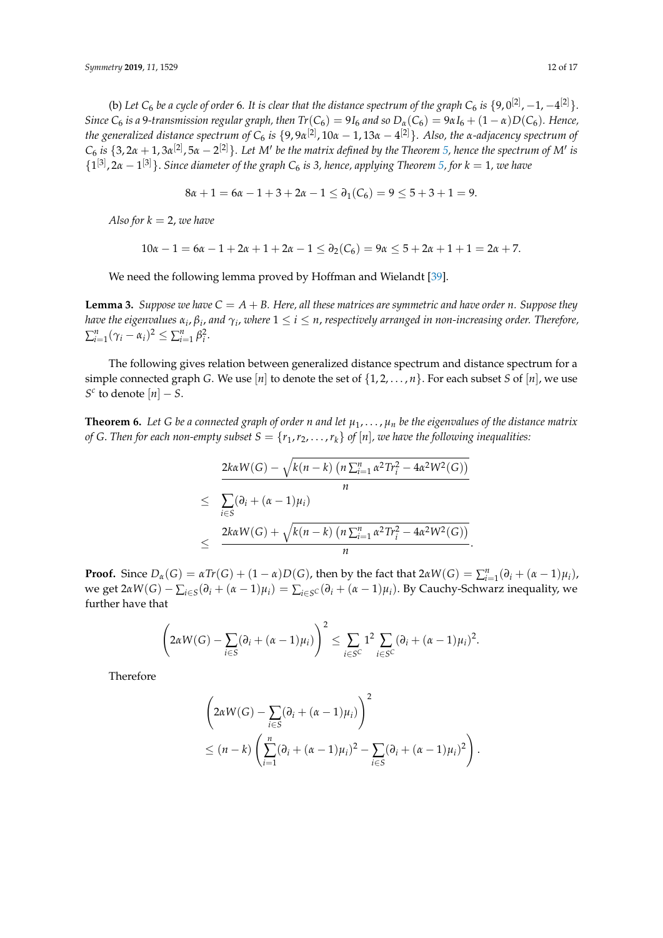(b) Let  $C_6$  be a cycle of order 6. It is clear that the distance spectrum of the graph  $C_6$  is  $\{9,0^{[2]},-1,-4^{[2]}\}$ . *Since*  $C_6$  *is a* 9-*transmission regular graph, then*  $Tr(C_6) = 9I_6$  *and so*  $D_\alpha(C_6) = 9\alpha I_6 + (1 - \alpha)D(C_6)$ *. Hence, the generalized distance spectrum of C*<sup>6</sup> *is* {9, 9*α* [2] , 10*α* − 1, 13*α* − 4 [2]}*. Also, the α-adjacency spectrum of*  $C_6$  *is*  $\{3, 2\alpha + 1, 3\alpha^{[2]}, 5\alpha - 2^{[2]}\}$ . Let M' be the matrix defined by the Theorem [5,](#page-8-2) hence the spectrum of M' is  ${1}^{[3]}, 2\alpha - 1^{[3]}\}$ . *Since diameter of the graph*  $C_6$  *is 3, hence, applying Theorem [5,](#page-8-2) for*  $k = 1$ *, we have* 

$$
8\alpha + 1 = 6\alpha - 1 + 3 + 2\alpha - 1 \le \partial_1(C_6) = 9 \le 5 + 3 + 1 = 9.
$$

*Also for*  $k = 2$ , *we have* 

$$
10\alpha - 1 = 6\alpha - 1 + 2\alpha + 1 + 2\alpha - 1 \le \partial_2(C_6) = 9\alpha \le 5 + 2\alpha + 1 + 1 = 2\alpha + 7.
$$

We need the following lemma proved by Hoffman and Wielandt [\[39\]](#page-16-12).

<span id="page-11-0"></span>**Lemma 3.** *Suppose we have*  $C = A + B$ *. Here, all these matrices are symmetric and have order n. Suppose they have the eigenvalues*  $α_i$ *,*  $β_i$ *, and*  $γ_i$ *, where*  $1 \leq i \leq n$ *, respectively arranged in non-increasing order. Therefore,*  $\sum_{i=1}^{n} (\gamma_i - \alpha_i)^2 \le \sum_{i=1}^{n} \beta_i^2$ .

The following gives relation between generalized distance spectrum and distance spectrum for a simple connected graph *G*. We use [*n*] to denote the set of {1, 2, . . . , *n*}. For each subset *S* of [*n*], we use *S*<sup>*c*</sup> to denote  $[n]$  – *S*.

**Theorem 6.** Let G be a connected graph of order *n* and let  $\mu_1, \ldots, \mu_n$  be the eigenvalues of the distance matrix *of G. Then for each non-empty subset*  $S = \{r_1, r_2, \ldots, r_k\}$  *of*  $[n]$ *<i>, we have the following inequalities:* 

$$
\frac{2k\alpha W(G) - \sqrt{k(n-k) (n \sum_{i=1}^{n} \alpha^{2} Tr_{i}^{2} - 4\alpha^{2} W^{2}(G))}}{n}
$$
  
 
$$
\leq \sum_{i \in S} (\partial_{i} + (\alpha - 1)\mu_{i})
$$
  
 
$$
\leq \frac{2k\alpha W(G) + \sqrt{k(n-k) (n \sum_{i=1}^{n} \alpha^{2} Tr_{i}^{2} - 4\alpha^{2} W^{2}(G))}}{n}.
$$

**Proof.** Since  $D_{\alpha}(G) = \alpha Tr(G) + (1 - \alpha)D(G)$ , then by the fact that  $2\alpha W(G) = \sum_{i=1}^{n} (\partial_i + (\alpha - 1)\mu_i)$ ,  $\alpha$  we get 2*αW*(*G*) −  $\sum_{i \in S} (\partial_i + (\alpha - 1)\mu_i) = \sum_{i \in S} c(\partial_i + (\alpha - 1)\mu_i)$ . By Cauchy-Schwarz inequality, we further have that

$$
\left(2\alpha W(G) - \sum_{i \in S} (\partial_i + (\alpha - 1)\mu_i)\right)^2 \leq \sum_{i \in S^C} 1^2 \sum_{i \in S^C} (\partial_i + (\alpha - 1)\mu_i)^2.
$$

Therefore

$$
\left(2\alpha W(G) - \sum_{i \in S} (\partial_i + (\alpha - 1)\mu_i)\right)^2
$$
  
 
$$
\leq (n - k) \left(\sum_{i=1}^n (\partial_i + (\alpha - 1)\mu_i)^2 - \sum_{i \in S} (\partial_i + (\alpha - 1)\mu_i)^2\right).
$$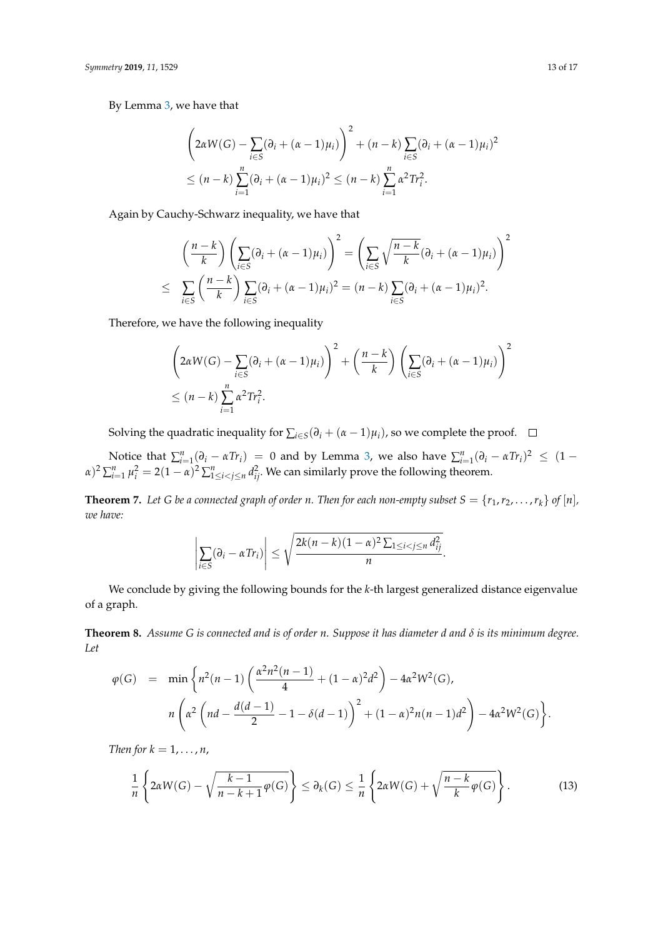By Lemma [3,](#page-11-0) we have that

$$
\left(2\alpha W(G) - \sum_{i \in S} (\partial_i + (\alpha - 1)\mu_i)\right)^2 + (n - k) \sum_{i \in S} (\partial_i + (\alpha - 1)\mu_i)^2
$$
  
 
$$
\leq (n - k) \sum_{i=1}^n (\partial_i + (\alpha - 1)\mu_i)^2 \leq (n - k) \sum_{i=1}^n \alpha^2 Tr_i^2.
$$

Again by Cauchy-Schwarz inequality, we have that

$$
\left(\frac{n-k}{k}\right)\left(\sum_{i\in S}(\partial_i+(\alpha-1)\mu_i)\right)^2=\left(\sum_{i\in S}\sqrt{\frac{n-k}{k}}(\partial_i+(\alpha-1)\mu_i)\right)^2
$$
  

$$
\leq \sum_{i\in S}\left(\frac{n-k}{k}\right)\sum_{i\in S}(\partial_i+(\alpha-1)\mu_i)^2=(n-k)\sum_{i\in S}(\partial_i+(\alpha-1)\mu_i)^2.
$$

Therefore, we have the following inequality

$$
\left(2\alpha W(G) - \sum_{i \in S} (\partial_i + (\alpha - 1)\mu_i)\right)^2 + \left(\frac{n - k}{k}\right) \left(\sum_{i \in S} (\partial_i + (\alpha - 1)\mu_i)\right)^2
$$
  

$$
\leq (n - k) \sum_{i=1}^n \alpha^2 Tr_i^2.
$$

Solving the quadratic inequality for  $\sum_{i \in S} (\partial_i + (\alpha - 1)\mu_i)$ , so we complete the proof.

Notice that  $\sum_{i=1}^{n} (\partial_i - \alpha Tr_i) = 0$  and by Lemma [3,](#page-11-0) we also have  $\sum_{i=1}^{n} (\partial_i - \alpha Tr_i)^2 \leq (1 - \alpha Tr_i)$  $\alpha$ )<sup>2</sup>  $\sum_{i=1}^{n}$   $\mu_i^2 = 2(1-\alpha)^2 \sum_{1 \le i < j \le n}^{n} d_{ij}^2$ . We can similarly prove the following theorem.

**Theorem 7.** Let G be a connected graph of order *n*. Then for each non-empty subset  $S = \{r_1, r_2, \ldots, r_k\}$  of  $[n]$ , *we have:*

$$
\left|\sum_{i\in S}(\partial_i-\alpha Tr_i)\right|\leq \sqrt{\frac{2k(n-k)(1-\alpha)^2\sum_{1\leq i
$$

We conclude by giving the following bounds for the *k*-th largest generalized distance eigenvalue of a graph.

<span id="page-12-1"></span>**Theorem 8.** *Assume G is connected and is of order n. Suppose it has diameter d and δ is its minimum degree. Let*

$$
\varphi(G) = \min \left\{ n^2(n-1) \left( \frac{\alpha^2 n^2(n-1)}{4} + (1-\alpha)^2 d^2 \right) - 4\alpha^2 W^2(G), \right\}
$$

$$
n \left( \alpha^2 \left( nd - \frac{d(d-1)}{2} - 1 - \delta(d-1) \right)^2 + (1-\alpha)^2 n(n-1)d^2 \right) - 4\alpha^2 W^2(G) \right\}.
$$

*Then for*  $k = 1, \ldots, n$ ,

<span id="page-12-0"></span>
$$
\frac{1}{n}\left\{2\alpha W(G)-\sqrt{\frac{k-1}{n-k+1}\varphi(G)}\right\}\leq \partial_k(G)\leq \frac{1}{n}\left\{2\alpha W(G)+\sqrt{\frac{n-k}{k}\varphi(G)}\right\}.
$$
\n(13)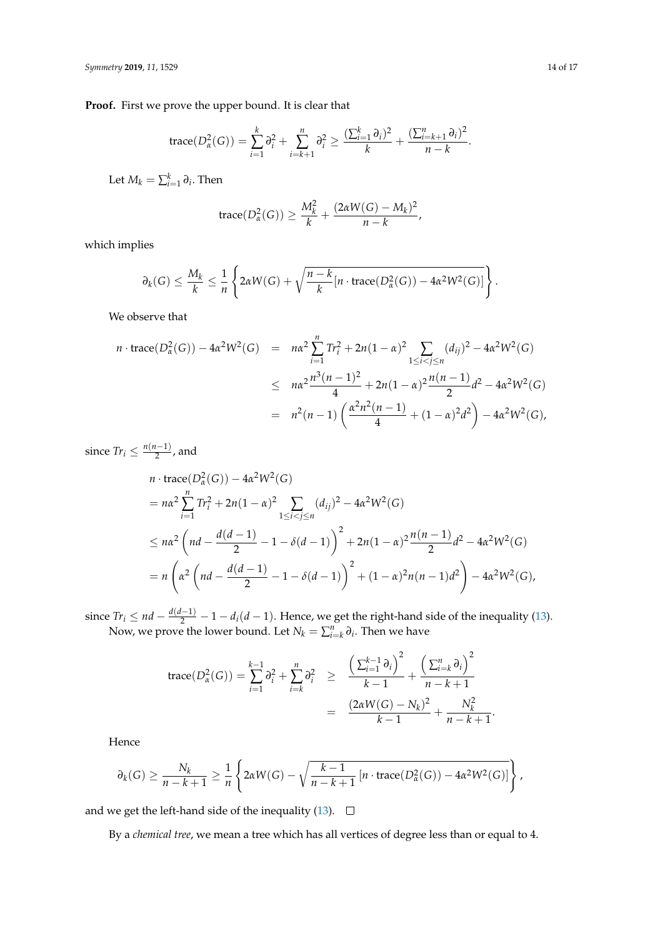**Proof.** First we prove the upper bound. It is clear that

trace
$$
(D_{\alpha}^{2}(G)) = \sum_{i=1}^{k} \partial_{i}^{2} + \sum_{i=k+1}^{n} \partial_{i}^{2} \ge \frac{(\sum_{i=1}^{k} \partial_{i})^{2}}{k} + \frac{(\sum_{i=k+1}^{n} \partial_{i})^{2}}{n-k}.
$$

Let  $M_k = \sum_{i=1}^k \partial_i$ . Then

$$
\operatorname{trace}(D_{\alpha}^{2}(G)) \geq \frac{M_{k}^{2}}{k} + \frac{(2\alpha W(G) - M_{k})^{2}}{n - k},
$$

which implies

$$
\partial_k(G) \leq \frac{M_k}{k} \leq \frac{1}{n} \left\{ 2\alpha W(G) + \sqrt{\frac{n-k}{k} [n \cdot \text{trace}(D_\alpha^2(G)) - 4\alpha^2 W^2(G)]} \right\}.
$$

We observe that

$$
n \cdot \text{trace}(D_{\alpha}^{2}(G)) - 4\alpha^{2}W^{2}(G) = n\alpha^{2} \sum_{i=1}^{n} Tr_{i}^{2} + 2n(1-\alpha)^{2} \sum_{1 \leq i < j \leq n} (d_{ij})^{2} - 4\alpha^{2}W^{2}(G)
$$
  

$$
\leq n\alpha^{2} \frac{n^{3}(n-1)^{2}}{4} + 2n(1-\alpha)^{2} \frac{n(n-1)}{2}d^{2} - 4\alpha^{2}W^{2}(G)
$$
  

$$
= n^{2}(n-1) \left( \frac{\alpha^{2}n^{2}(n-1)}{4} + (1-\alpha)^{2}d^{2} \right) - 4\alpha^{2}W^{2}(G),
$$

since  $Tr_i \leq \frac{n(n-1)}{2}$  $\frac{1}{2}$ , and

$$
n \cdot \text{trace}(D_{\alpha}^{2}(G)) - 4\alpha^{2}W^{2}(G)
$$
  
=  $n\alpha^{2} \sum_{i=1}^{n} Tr_{i}^{2} + 2n(1 - \alpha)^{2} \sum_{1 \leq i < j \leq n} (d_{ij})^{2} - 4\alpha^{2}W^{2}(G)$   

$$
\leq n\alpha^{2} \left(nd - \frac{d(d-1)}{2} - 1 - \delta(d-1)\right)^{2} + 2n(1 - \alpha)^{2} \frac{n(n-1)}{2}d^{2} - 4\alpha^{2}W^{2}(G)
$$
  
=  $n\left(\alpha^{2} \left(nd - \frac{d(d-1)}{2} - 1 - \delta(d-1)\right)^{2} + (1 - \alpha)^{2}n(n-1)d^{2}\right) - 4\alpha^{2}W^{2}(G),$ 

since  $Tr_i ≤ nd - \frac{d(d-1)}{2} - 1 - d_i(d-1)$ . Hence, we get the right-hand side of the inequality [\(13\)](#page-12-0). Now, we prove the lower bound. Let  $N_k = \sum_{i=k}^n \partial_i$ . Then we have

$$
\begin{array}{rcl}\n\text{trace}(D_{\alpha}^{2}(G)) & = \sum_{i=1}^{k-1} \partial_{i}^{2} + \sum_{i=k}^{n} \partial_{i}^{2} & \geq & \frac{\left(\sum_{i=1}^{k-1} \partial_{i}\right)^{2}}{k-1} + \frac{\left(\sum_{i=k}^{n} \partial_{i}\right)^{2}}{n-k+1} \\
& = & \frac{(2\alpha W(G) - N_{k})^{2}}{k-1} + \frac{N_{k}^{2}}{n-k+1}.\n\end{array}
$$

Hence

$$
\partial_k(G) \geq \frac{N_k}{n-k+1} \geq \frac{1}{n} \left\{ 2\alpha W(G) - \sqrt{\frac{k-1}{n-k+1} \left[ n \cdot \text{trace}(D^2_{\alpha}(G)) - 4\alpha^2 W^2(G) \right]} \right\},
$$

and we get the left-hand side of the inequality [\(13\)](#page-12-0).  $\square$ 

By a *chemical tree*, we mean a tree which has all vertices of degree less than or equal to 4.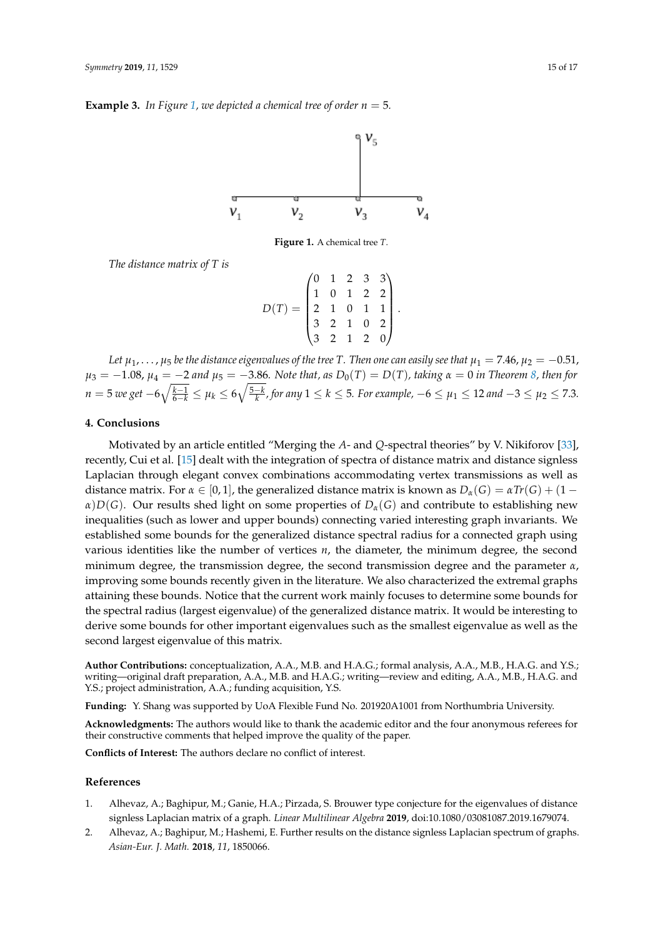<span id="page-14-1"></span>**Example 3.** In Figure [1,](#page-14-1) we depicted a chemical tree of order  $n = 5$ .



**Figure 1.** A chemical tree *T*.

*The distance matrix of T is*

 $D(T) =$  $\sqrt{ }$  0 1 2 3 3 1 0 1 2 2 2 1 0 1 1 3 2 1 0 2 3 2 1 2 0  $\setminus$  $\cdot$ 

.

*Let*  $\mu_1, \ldots, \mu_5$  *be the distance eigenvalues of the tree T. Then one can easily see that*  $\mu_1 = 7.46$ ,  $\mu_2 = -0.51$ ,  $\mu_3 = -1.08$ ,  $\mu_4 = -2$  and  $\mu_5 = -3.86$ . Note that, as  $D_0(T) = D(T)$ , taking  $\alpha = 0$  in Theorem [8,](#page-12-1) then for *n* = 5 *we get* −6 $\sqrt{\frac{k-1}{6-k}} \leq \mu_k \leq 6\sqrt{\frac{5-k}{k}}$ , for any  $1 \leq k \leq$  5. For example, −6  $\leq \mu_1 \leq$  12 and −3  $\leq \mu_2 \leq$  7.3.

## **4. Conclusions**

Motivated by an article entitled "Merging the *A*- and *Q*-spectral theories" by V. Nikiforov [\[33\]](#page-16-0), recently, Cui et al. [\[15\]](#page-15-9) dealt with the integration of spectra of distance matrix and distance signless Laplacian through elegant convex combinations accommodating vertex transmissions as well as distance matrix. For  $\alpha \in [0,1]$ , the generalized distance matrix is known as  $D_{\alpha}(G) = \alpha Tr(G) + (1$ *α*)*D*(*G*). Our results shed light on some properties of  $D<sub>\alpha</sub>(G)$  and contribute to establishing new inequalities (such as lower and upper bounds) connecting varied interesting graph invariants. We established some bounds for the generalized distance spectral radius for a connected graph using various identities like the number of vertices *n*, the diameter, the minimum degree, the second minimum degree, the transmission degree, the second transmission degree and the parameter *α*, improving some bounds recently given in the literature. We also characterized the extremal graphs attaining these bounds. Notice that the current work mainly focuses to determine some bounds for the spectral radius (largest eigenvalue) of the generalized distance matrix. It would be interesting to derive some bounds for other important eigenvalues such as the smallest eigenvalue as well as the second largest eigenvalue of this matrix.

**Author Contributions:** conceptualization, A.A., M.B. and H.A.G.; formal analysis, A.A., M.B., H.A.G. and Y.S.; writing—original draft preparation, A.A., M.B. and H.A.G.; writing—review and editing, A.A., M.B., H.A.G. and Y.S.; project administration, A.A.; funding acquisition, Y.S.

**Funding:** Y. Shang was supported by UoA Flexible Fund No. 201920A1001 from Northumbria University.

**Acknowledgments:** The authors would like to thank the academic editor and the four anonymous referees for their constructive comments that helped improve the quality of the paper.

**Conflicts of Interest:** The authors declare no conflict of interest.

#### **References**

- <span id="page-14-0"></span>1. Alhevaz, A.; Baghipur, M.; Ganie, H.A.; Pirzada, S. Brouwer type conjecture for the eigenvalues of distance signless Laplacian matrix of a graph. *Linear Multilinear Algebra* **2019**, doi:10.1080/03081087.2019.1679074.
- 2. Alhevaz, A.; Baghipur, M.; Hashemi, E. Further results on the distance signless Laplacian spectrum of graphs. *Asian-Eur. J. Math.* **2018**, *11*, 1850066.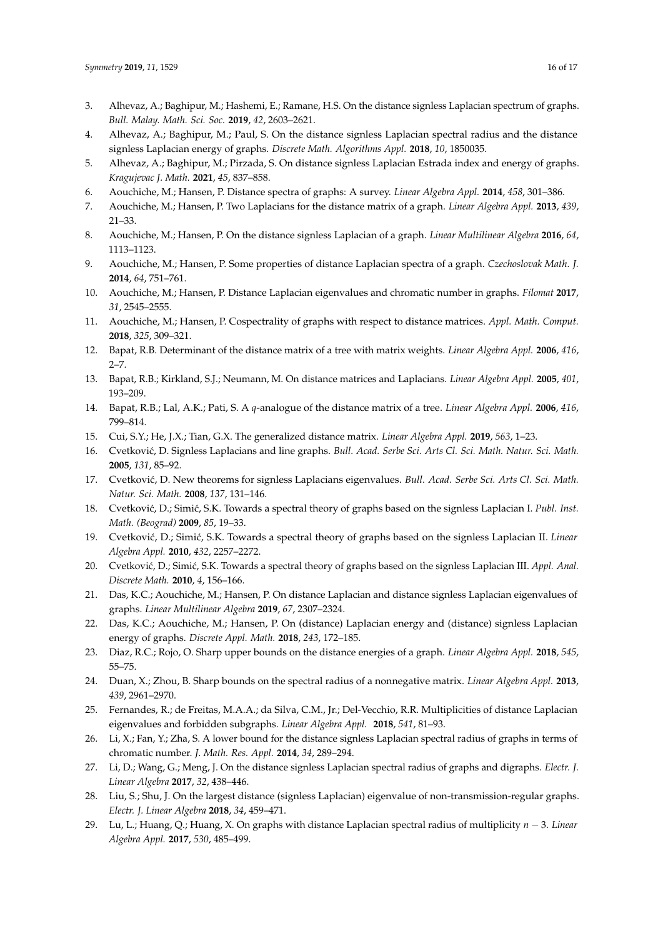- <span id="page-15-21"></span>3. Alhevaz, A.; Baghipur, M.; Hashemi, E.; Ramane, H.S. On the distance signless Laplacian spectrum of graphs. *Bull. Malay. Math. Sci. Soc.* **2019**, *42*, 2603–2621.
- <span id="page-15-14"></span>4. Alhevaz, A.; Baghipur, M.; Paul, S. On the distance signless Laplacian spectral radius and the distance signless Laplacian energy of graphs. *Discrete Math. Algorithms Appl.* **2018**, *10*, 1850035.
- <span id="page-15-15"></span>5. Alhevaz, A.; Baghipur, M.; Pirzada, S. On distance signless Laplacian Estrada index and energy of graphs. *Kragujevac J. Math.* **2021**, *45*, 837–858.
- <span id="page-15-0"></span>6. Aouchiche, M.; Hansen, P. Distance spectra of graphs: A survey. *Linear Algebra Appl.* **2014**, *458*, 301–386.
- <span id="page-15-4"></span>7. Aouchiche, M.; Hansen, P. Two Laplacians for the distance matrix of a graph. *Linear Algebra Appl.* **2013**, *439*, 21–33.
- <span id="page-15-24"></span>8. Aouchiche, M.; Hansen, P. On the distance signless Laplacian of a graph. *Linear Multilinear Algebra* **2016**, *64*, 1113–1123.
- <span id="page-15-5"></span>9. Aouchiche, M.; Hansen, P. Some properties of distance Laplacian spectra of a graph. *Czechoslovak Math. J.* **2014**, *64*, 751–761.
- <span id="page-15-12"></span>10. Aouchiche, M.; Hansen, P. Distance Laplacian eigenvalues and chromatic number in graphs. *Filomat* **2017**, *31*, 2545–2555.
- <span id="page-15-18"></span>11. Aouchiche, M.; Hansen, P. Cospectrality of graphs with respect to distance matrices. *Appl. Math. Comput.* **2018**, *325*, 309–321.
- <span id="page-15-1"></span>12. Bapat, R.B. Determinant of the distance matrix of a tree with matrix weights. *Linear Algebra Appl.* **2006**, *416*, 2–7.
- <span id="page-15-2"></span>13. Bapat, R.B.; Kirkland, S.J.; Neumann, M. On distance matrices and Laplacians. *Linear Algebra Appl.* **2005**, *401*, 193–209.
- <span id="page-15-3"></span>14. Bapat, R.B.; Lal, A.K.; Pati, S. A *q*-analogue of the distance matrix of a tree. *Linear Algebra Appl.* **2006**, *416*, 799–814.
- <span id="page-15-9"></span>15. Cui, S.Y.; He, J.X.; Tian, G.X. The generalized distance matrix. *Linear Algebra Appl.* **2019**, *563*, 1–23.
- <span id="page-15-6"></span>16. Cvetković, D. Signless Laplacians and line graphs. Bull. Acad. Serbe Sci. Arts Cl. Sci. Math. Natur. Sci. Math. **2005**, *131*, 85–92.
- <span id="page-15-7"></span>17. Cvetković, D. New theorems for signless Laplacians eigenvalues. *Bull. Acad. Serbe Sci. Arts Cl. Sci. Math. Natur. Sci. Math.* **2008**, *137*, 131–146.
- 18. Cvetković, D.; Simić, S.K. Towards a spectral theory of graphs based on the signless Laplacian I. *Publ. Inst. Math. (Beograd)* **2009**, *85*, 19–33.
- 19. Cvetkovi´c, D.; Simi´c, S.K. Towards a spectral theory of graphs based on the signless Laplacian II. *Linear Algebra Appl.* **2010**, *432*, 2257–2272.
- <span id="page-15-8"></span>20. Cvetković, D.; Simić, S.K. Towards a spectral theory of graphs based on the signless Laplacian III. *Appl. Anal. Discrete Math.* **2010**, *4*, 156–166.
- <span id="page-15-13"></span>21. Das, K.C.; Aouchiche, M.; Hansen, P. On distance Laplacian and distance signless Laplacian eigenvalues of graphs. *Linear Multilinear Algebra* **2019**, *67*, 2307–2324.
- <span id="page-15-16"></span>22. Das, K.C.; Aouchiche, M.; Hansen, P. On (distance) Laplacian energy and (distance) signless Laplacian energy of graphs. *Discrete Appl. Math.* **2018**, *243*, 172–185.
- <span id="page-15-17"></span>23. Diaz, R.C.; Rojo, O. Sharp upper bounds on the distance energies of a graph. *Linear Algebra Appl.* **2018**, *545*, 55–75.
- <span id="page-15-10"></span>24. Duan, X.; Zhou, B. Sharp bounds on the spectral radius of a nonnegative matrix. *Linear Algebra Appl.* **2013**, *439*, 2961–2970.
- <span id="page-15-19"></span>25. Fernandes, R.; de Freitas, M.A.A.; da Silva, C.M., Jr.; Del-Vecchio, R.R. Multiplicities of distance Laplacian eigenvalues and forbidden subgraphs. *Linear Algebra Appl.* **2018**, *541*, 81–93.
- <span id="page-15-11"></span>26. Li, X.; Fan, Y.; Zha, S. A lower bound for the distance signless Laplacian spectral radius of graphs in terms of chromatic number. *J. Math. Res. Appl.* **2014**, *34*, 289–294.
- <span id="page-15-22"></span>27. Li, D.; Wang, G.; Meng, J. On the distance signless Laplacian spectral radius of graphs and digraphs. *Electr. J. Linear Algebra* **2017**, *32*, 438–446.
- <span id="page-15-23"></span>28. Liu, S.; Shu, J. On the largest distance (signless Laplacian) eigenvalue of non-transmission-regular graphs. *Electr. J. Linear Algebra* **2018**, *34*, 459–471.
- <span id="page-15-20"></span>29. Lu, L.; Huang, Q.; Huang, X. On graphs with distance Laplacian spectral radius of multiplicity *n* − 3. *Linear Algebra Appl.* **2017**, *530*, 485–499.